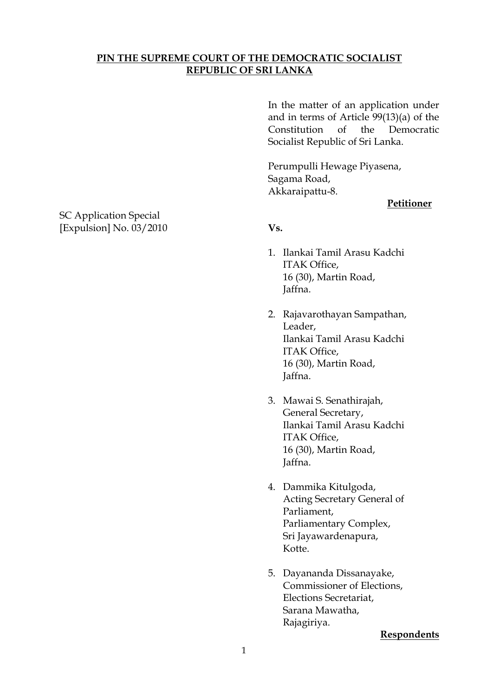# **PIN THE SUPREME COURT OF THE DEMOCRATIC SOCIALIST REPUBLIC OF SRI LANKA**

In the matter of an application under and in terms of Article 99(13)(a) of the Constitution of the Democratic Socialist Republic of Sri Lanka.

Perumpulli Hewage Piyasena, Sagama Road, Akkaraipattu-8.

### **Petitioner**

- 1. Ilankai Tamil Arasu Kadchi ITAK Office, 16 (30), Martin Road, Jaffna.
- 2. Rajavarothayan Sampathan, Leader, Ilankai Tamil Arasu Kadchi ITAK Office, 16 (30), Martin Road, Jaffna.
- 3. Mawai S. Senathirajah, General Secretary, Ilankai Tamil Arasu Kadchi ITAK Office, 16 (30), Martin Road, Jaffna.
- 4. Dammika Kitulgoda, Acting Secretary General of Parliament, Parliamentary Complex, Sri Jayawardenapura, Kotte.
- 5. Dayananda Dissanayake, Commissioner of Elections, Elections Secretariat, Sarana Mawatha, Rajagiriya.

#### **Respondents**

SC Application Special [Expulsion] No. 03/2010 **Vs.**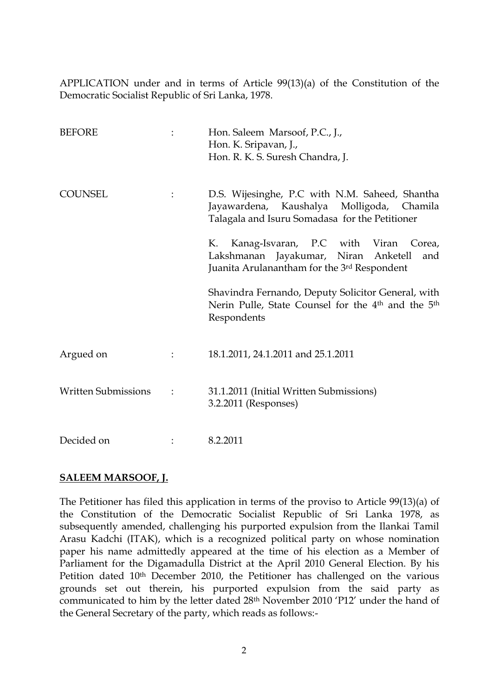APPLICATION under and in terms of Article 99(13)(a) of the Constitution of the Democratic Socialist Republic of Sri Lanka, 1978.

| <b>BEFORE</b>              | Hon. Saleem Marsoof, P.C., J.,<br>Hon. K. Sripavan, J.,<br>Hon. R. K. S. Suresh Chandra, J.                                                     |
|----------------------------|-------------------------------------------------------------------------------------------------------------------------------------------------|
| <b>COUNSEL</b>             | D.S. Wijesinghe, P.C with N.M. Saheed, Shantha<br>Jayawardena, Kaushalya Molligoda, Chamila<br>Talagala and Isuru Somadasa for the Petitioner   |
|                            | Kanag-Isvaran, P.C with Viran Corea,<br>K.<br>Lakshmanan Jayakumar, Niran Anketell<br>and<br>Juanita Arulanantham for the 3rd Respondent        |
|                            | Shavindra Fernando, Deputy Solicitor General, with<br>Nerin Pulle, State Counsel for the 4 <sup>th</sup> and the 5 <sup>th</sup><br>Respondents |
| Argued on                  | 18.1.2011, 24.1.2011 and 25.1.2011                                                                                                              |
| <b>Written Submissions</b> | 31.1.2011 (Initial Written Submissions)<br>3.2.2011 (Responses)                                                                                 |
| Decided on                 | 8.2.2011                                                                                                                                        |

## **SALEEM MARSOOF, J.**

The Petitioner has filed this application in terms of the proviso to Article 99(13)(a) of the Constitution of the Democratic Socialist Republic of Sri Lanka 1978, as subsequently amended, challenging his purported expulsion from the Ilankai Tamil Arasu Kadchi (ITAK), which is a recognized political party on whose nomination paper his name admittedly appeared at the time of his election as a Member of Parliament for the Digamadulla District at the April 2010 General Election. By his Petition dated 10<sup>th</sup> December 2010, the Petitioner has challenged on the various grounds set out therein, his purported expulsion from the said party as communicated to him by the letter dated 28th November 2010 "P12" under the hand of the General Secretary of the party, which reads as follows:-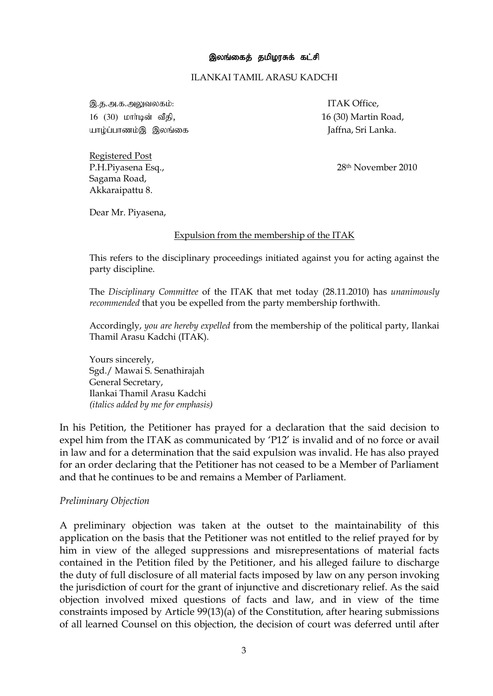#### ILANKAI TAMIL ARASU KADCHI

இ.த.அ.க.அலுவலகம்: interval and a series of the series of the series of the series of the series of the series o 16 (30) khh;bd; tPjp, 16 (30) Martin Road, aho ;g;ghzk;, ,yq;if Jaffna, Sri Lanka.

P.H.Piyasena Esq., 28th November 2010

Sagama Road, Akkaraipattu 8.

Registered Post

Dear Mr. Piyasena,

### Expulsion from the membership of the ITAK

This refers to the disciplinary proceedings initiated against you for acting against the party discipline.

The *Disciplinary Committee* of the ITAK that met today (28.11.2010) has *unanimously recommended* that you be expelled from the party membership forthwith.

Accordingly, *you are hereby expelled* from the membership of the political party, Ilankai Thamil Arasu Kadchi (ITAK).

Yours sincerely, Sgd./ Mawai S. Senathirajah General Secretary, Ilankai Thamil Arasu Kadchi *(italics added by me for emphasis)* 

In his Petition, the Petitioner has prayed for a declaration that the said decision to expel him from the ITAK as communicated by "P12" is invalid and of no force or avail in law and for a determination that the said expulsion was invalid. He has also prayed for an order declaring that the Petitioner has not ceased to be a Member of Parliament and that he continues to be and remains a Member of Parliament.

### *Preliminary Objection*

A preliminary objection was taken at the outset to the maintainability of this application on the basis that the Petitioner was not entitled to the relief prayed for by him in view of the alleged suppressions and misrepresentations of material facts contained in the Petition filed by the Petitioner, and his alleged failure to discharge the duty of full disclosure of all material facts imposed by law on any person invoking the jurisdiction of court for the grant of injunctive and discretionary relief. As the said objection involved mixed questions of facts and law, and in view of the time constraints imposed by Article 99(13)(a) of the Constitution, after hearing submissions of all learned Counsel on this objection, the decision of court was deferred until after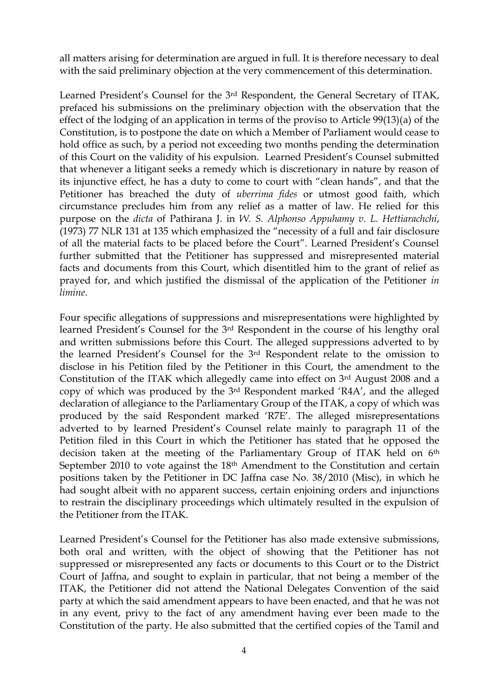all matters arising for determination are argued in full. It is therefore necessary to deal with the said preliminary objection at the very commencement of this determination.

Learned President's Counsel for the 3<sup>rd</sup> Respondent, the General Secretary of ITAK, prefaced his submissions on the preliminary objection with the observation that the effect of the lodging of an application in terms of the proviso to Article 99(13)(a) of the Constitution, is to postpone the date on which a Member of Parliament would cease to hold office as such, by a period not exceeding two months pending the determination of this Court on the validity of his expulsion. Learned President"s Counsel submitted that whenever a litigant seeks a remedy which is discretionary in nature by reason of its injunctive effect, he has a duty to come to court with "clean hands", and that the Petitioner has breached the duty of *uberrima fides* or utmost good faith, which circumstance precludes him from any relief as a matter of law. He relied for this purpose on the *dicta* of Pathirana J. in *W. S. Alphonso Appuhamy v. L. Hettiarachchi*, (1973) 77 NLR 131 at 135 which emphasized the "necessity of a full and fair disclosure of all the material facts to be placed before the Court". Learned President"s Counsel further submitted that the Petitioner has suppressed and misrepresented material facts and documents from this Court, which disentitled him to the grant of relief as prayed for, and which justified the dismissal of the application of the Petitioner *in limine*.

Four specific allegations of suppressions and misrepresentations were highlighted by learned President's Counsel for the 3<sup>rd</sup> Respondent in the course of his lengthy oral and written submissions before this Court. The alleged suppressions adverted to by the learned President"s Counsel for the 3rd Respondent relate to the omission to disclose in his Petition filed by the Petitioner in this Court, the amendment to the Constitution of the ITAK which allegedly came into effect on 3rd August 2008 and a copy of which was produced by the 3rd Respondent marked "R4A", and the alleged declaration of allegiance to the Parliamentary Group of the ITAK, a copy of which was produced by the said Respondent marked "R7E". The alleged misrepresentations adverted to by learned President's Counsel relate mainly to paragraph 11 of the Petition filed in this Court in which the Petitioner has stated that he opposed the decision taken at the meeting of the Parliamentary Group of ITAK held on 6<sup>th</sup> September 2010 to vote against the 18<sup>th</sup> Amendment to the Constitution and certain positions taken by the Petitioner in DC Jaffna case No. 38/2010 (Misc), in which he had sought albeit with no apparent success, certain enjoining orders and injunctions to restrain the disciplinary proceedings which ultimately resulted in the expulsion of the Petitioner from the ITAK.

Learned President"s Counsel for the Petitioner has also made extensive submissions, both oral and written, with the object of showing that the Petitioner has not suppressed or misrepresented any facts or documents to this Court or to the District Court of Jaffna, and sought to explain in particular, that not being a member of the ITAK, the Petitioner did not attend the National Delegates Convention of the said party at which the said amendment appears to have been enacted, and that he was not in any event, privy to the fact of any amendment having ever been made to the Constitution of the party. He also submitted that the certified copies of the Tamil and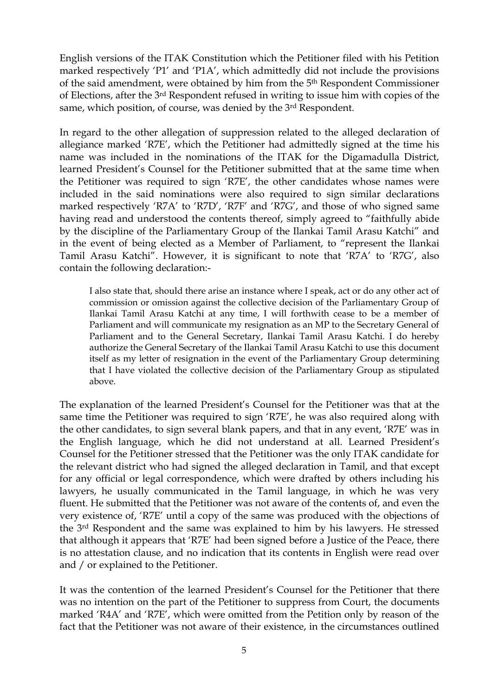English versions of the ITAK Constitution which the Petitioner filed with his Petition marked respectively "P1" and "P1A", which admittedly did not include the provisions of the said amendment, were obtained by him from the 5th Respondent Commissioner of Elections, after the 3rd Respondent refused in writing to issue him with copies of the same, which position, of course, was denied by the 3rd Respondent.

In regard to the other allegation of suppression related to the alleged declaration of allegiance marked "R7E", which the Petitioner had admittedly signed at the time his name was included in the nominations of the ITAK for the Digamadulla District, learned President"s Counsel for the Petitioner submitted that at the same time when the Petitioner was required to sign "R7E", the other candidates whose names were included in the said nominations were also required to sign similar declarations marked respectively "R7A" to "R7D", "R7F" and "R7G", and those of who signed same having read and understood the contents thereof, simply agreed to "faithfully abide by the discipline of the Parliamentary Group of the Ilankai Tamil Arasu Katchi" and in the event of being elected as a Member of Parliament, to "represent the Ilankai Tamil Arasu Katchi". However, it is significant to note that "R7A" to "R7G", also contain the following declaration:-

I also state that, should there arise an instance where I speak, act or do any other act of commission or omission against the collective decision of the Parliamentary Group of Ilankai Tamil Arasu Katchi at any time, I will forthwith cease to be a member of Parliament and will communicate my resignation as an MP to the Secretary General of Parliament and to the General Secretary, Ilankai Tamil Arasu Katchi. I do hereby authorize the General Secretary of the Ilankai Tamil Arasu Katchi to use this document itself as my letter of resignation in the event of the Parliamentary Group determining that I have violated the collective decision of the Parliamentary Group as stipulated above.

The explanation of the learned President"s Counsel for the Petitioner was that at the same time the Petitioner was required to sign "R7E", he was also required along with the other candidates, to sign several blank papers, and that in any event, "R7E" was in the English language, which he did not understand at all. Learned President"s Counsel for the Petitioner stressed that the Petitioner was the only ITAK candidate for the relevant district who had signed the alleged declaration in Tamil, and that except for any official or legal correspondence, which were drafted by others including his lawyers, he usually communicated in the Tamil language, in which he was very fluent. He submitted that the Petitioner was not aware of the contents of, and even the very existence of, "R7E" until a copy of the same was produced with the objections of the 3rd Respondent and the same was explained to him by his lawyers. He stressed that although it appears that "R7E" had been signed before a Justice of the Peace, there is no attestation clause, and no indication that its contents in English were read over and / or explained to the Petitioner.

It was the contention of the learned President"s Counsel for the Petitioner that there was no intention on the part of the Petitioner to suppress from Court, the documents marked 'R4A' and 'R7E', which were omitted from the Petition only by reason of the fact that the Petitioner was not aware of their existence, in the circumstances outlined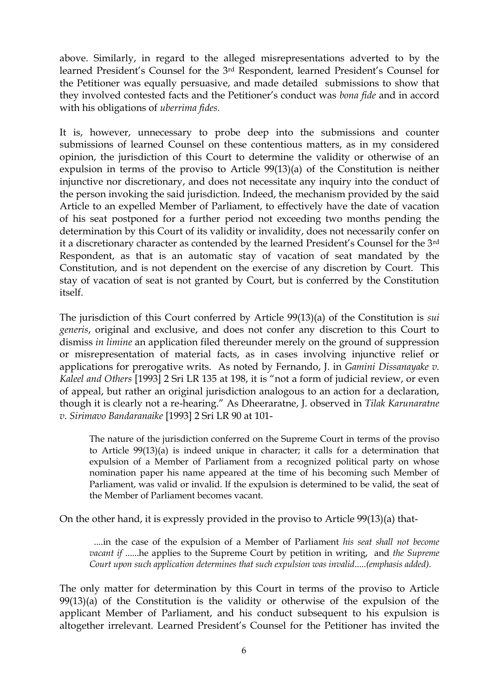above. Similarly, in regard to the alleged misrepresentations adverted to by the learned President's Counsel for the 3<sup>rd</sup> Respondent, learned President's Counsel for the Petitioner was equally persuasive, and made detailed submissions to show that they involved contested facts and the Petitioner"s conduct was *bona fide* and in accord with his obligations of *uberrima fides.*

It is, however, unnecessary to probe deep into the submissions and counter submissions of learned Counsel on these contentious matters, as in my considered opinion, the jurisdiction of this Court to determine the validity or otherwise of an expulsion in terms of the proviso to Article 99(13)(a) of the Constitution is neither injunctive nor discretionary, and does not necessitate any inquiry into the conduct of the person invoking the said jurisdiction. Indeed, the mechanism provided by the said Article to an expelled Member of Parliament, to effectively have the date of vacation of his seat postponed for a further period not exceeding two months pending the determination by this Court of its validity or invalidity, does not necessarily confer on it a discretionary character as contended by the learned President"s Counsel for the 3rd Respondent, as that is an automatic stay of vacation of seat mandated by the Constitution, and is not dependent on the exercise of any discretion by Court. This stay of vacation of seat is not granted by Court, but is conferred by the Constitution itself.

The jurisdiction of this Court conferred by Article 99(13)(a) of the Constitution is *sui generis*, original and exclusive, and does not confer any discretion to this Court to dismiss *in limine* an application filed thereunder merely on the ground of suppression or misrepresentation of material facts, as in cases involving injunctive relief or applications for prerogative writs. As noted by Fernando, J. in *Gamini Dissanayake v. Kaleel and Others* [1993] 2 Sri LR 135 at 198, it is "not a form of judicial review, or even of appeal, but rather an original jurisdiction analogous to an action for a declaration, though it is clearly not a re-hearing." As Dheeraratne, J. observed in *Tilak Karunaratne v. Sirimavo Bandaranaike* [1993] 2 Sri LR 90 at 101-

The nature of the jurisdiction conferred on the Supreme Court in terms of the proviso to Article 99(13)(a) is indeed unique in character; it calls for a determination that expulsion of a Member of Parliament from a recognized political party on whose nomination paper his name appeared at the time of his becoming such Member of Parliament, was valid or invalid. If the expulsion is determined to be valid, the seat of the Member of Parliament becomes vacant.

On the other hand, it is expressly provided in the proviso to Article 99(13)(a) that-

 ....in the case of the expulsion of a Member of Parliament *his seat shall not become vacant if* ......he applies to the Supreme Court by petition in writing, and *the Supreme Court upon such application determines that such expulsion was invalid*.....*(emphasis added).*

The only matter for determination by this Court in terms of the proviso to Article 99(13)(a) of the Constitution is the validity or otherwise of the expulsion of the applicant Member of Parliament, and his conduct subsequent to his expulsion is altogether irrelevant. Learned President"s Counsel for the Petitioner has invited the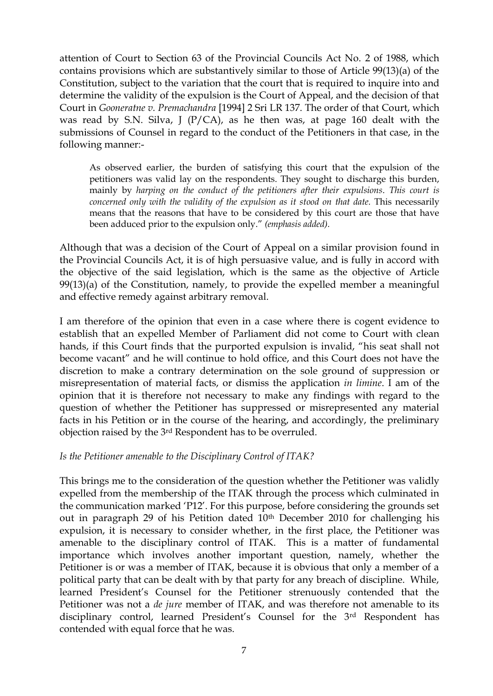attention of Court to Section 63 of the Provincial Councils Act No. 2 of 1988, which contains provisions which are substantively similar to those of Article 99(13)(a) of the Constitution, subject to the variation that the court that is required to inquire into and determine the validity of the expulsion is the Court of Appeal, and the decision of that Court in *Gooneratne v. Premachandra* [1994] 2 Sri LR 137. The order of that Court, which was read by S.N. Silva, J ( $P/CA$ ), as he then was, at page 160 dealt with the submissions of Counsel in regard to the conduct of the Petitioners in that case, in the following manner:-

As observed earlier, the burden of satisfying this court that the expulsion of the petitioners was valid lay on the respondents. They sought to discharge this burden, mainly by *harping on the conduct of the petitioners after their expulsions*. *This court is concerned only with the validity of the expulsion as it stood on that date. This necessarily* means that the reasons that have to be considered by this court are those that have been adduced prior to the expulsion only." *(emphasis added).*

Although that was a decision of the Court of Appeal on a similar provision found in the Provincial Councils Act, it is of high persuasive value, and is fully in accord with the objective of the said legislation, which is the same as the objective of Article 99(13)(a) of the Constitution, namely, to provide the expelled member a meaningful and effective remedy against arbitrary removal.

I am therefore of the opinion that even in a case where there is cogent evidence to establish that an expelled Member of Parliament did not come to Court with clean hands, if this Court finds that the purported expulsion is invalid, "his seat shall not become vacant" and he will continue to hold office, and this Court does not have the discretion to make a contrary determination on the sole ground of suppression or misrepresentation of material facts, or dismiss the application *in limine*. I am of the opinion that it is therefore not necessary to make any findings with regard to the question of whether the Petitioner has suppressed or misrepresented any material facts in his Petition or in the course of the hearing, and accordingly, the preliminary objection raised by the 3rd Respondent has to be overruled.

## *Is the Petitioner amenable to the Disciplinary Control of ITAK?*

This brings me to the consideration of the question whether the Petitioner was validly expelled from the membership of the ITAK through the process which culminated in the communication marked "P12". For this purpose, before considering the grounds set out in paragraph 29 of his Petition dated 10<sup>th</sup> December 2010 for challenging his expulsion, it is necessary to consider whether, in the first place, the Petitioner was amenable to the disciplinary control of ITAK. This is a matter of fundamental importance which involves another important question, namely, whether the Petitioner is or was a member of ITAK, because it is obvious that only a member of a political party that can be dealt with by that party for any breach of discipline. While, learned President's Counsel for the Petitioner strenuously contended that the Petitioner was not a *de jure* member of ITAK, and was therefore not amenable to its disciplinary control, learned President"s Counsel for the 3rd Respondent has contended with equal force that he was.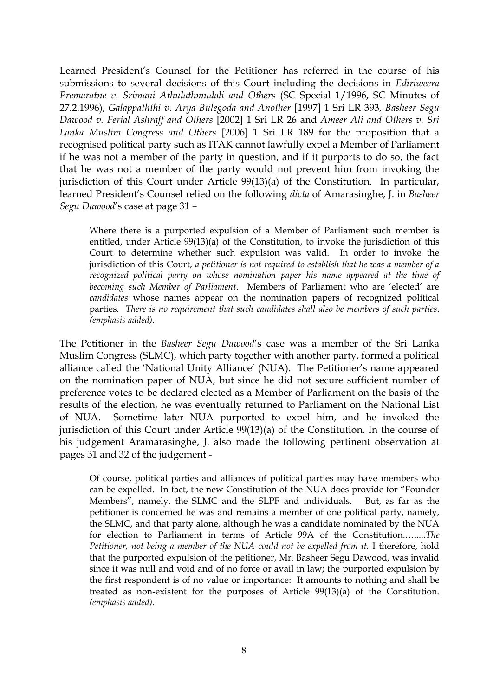Learned President"s Counsel for the Petitioner has referred in the course of his submissions to several decisions of this Court including the decisions in *Ediriweera Premaratne v. Srimani Athulathmudali and Others* (SC Special 1/1996, SC Minutes of 27.2.1996), *Galappaththi v. Arya Bulegoda and Another* [1997] 1 Sri LR 393, *Basheer Segu Dawood v. Ferial Ashraff and Others* [2002] 1 Sri LR 26 and *Ameer Ali and Others v. Sri Lanka Muslim Congress and Others* [2006] 1 Sri LR 189 for the proposition that a recognised political party such as ITAK cannot lawfully expel a Member of Parliament if he was not a member of the party in question, and if it purports to do so, the fact that he was not a member of the party would not prevent him from invoking the jurisdiction of this Court under Article 99(13)(a) of the Constitution. In particular, learned President"s Counsel relied on the following *dicta* of Amarasinghe, J. in *Basheer Segu Dawood*"s case at page 31 –

Where there is a purported expulsion of a Member of Parliament such member is entitled, under Article 99(13)(a) of the Constitution, to invoke the jurisdiction of this Court to determine whether such expulsion was valid. In order to invoke the jurisdiction of this Court, *a petitioner is not required to establish that he was a member of a recognized political party on whose nomination paper his name appeared at the time of becoming such Member of Parliament*. Members of Parliament who are "elected" are *candidates* whose names appear on the nomination papers of recognized political parties. *There is no requirement that such candidates shall also be members of such parties*. *(emphasis added).*

The Petitioner in the *Basheer Segu Dawood*"s case was a member of the Sri Lanka Muslim Congress (SLMC), which party together with another party, formed a political alliance called the "National Unity Alliance" (NUA). The Petitioner"s name appeared on the nomination paper of NUA, but since he did not secure sufficient number of preference votes to be declared elected as a Member of Parliament on the basis of the results of the election, he was eventually returned to Parliament on the National List of NUA. Sometime later NUA purported to expel him, and he invoked the jurisdiction of this Court under Article 99(13)(a) of the Constitution. In the course of his judgement Aramarasinghe, J. also made the following pertinent observation at pages 31 and 32 of the judgement -

Of course, political parties and alliances of political parties may have members who can be expelled. In fact, the new Constitution of the NUA does provide for "Founder Members", namely, the SLMC and the SLPF and individuals. But, as far as the petitioner is concerned he was and remains a member of one political party, namely, the SLMC, and that party alone, although he was a candidate nominated by the NUA for election to Parliament in terms of Article 99A of the Constitution.….....*The Petitioner, not being a member of the NUA could not be expelled from it.* I therefore, hold that the purported expulsion of the petitioner, Mr. Basheer Segu Dawood, was invalid since it was null and void and of no force or avail in law; the purported expulsion by the first respondent is of no value or importance: It amounts to nothing and shall be treated as non-existent for the purposes of Article 99(13)(a) of the Constitution. *(emphasis added).*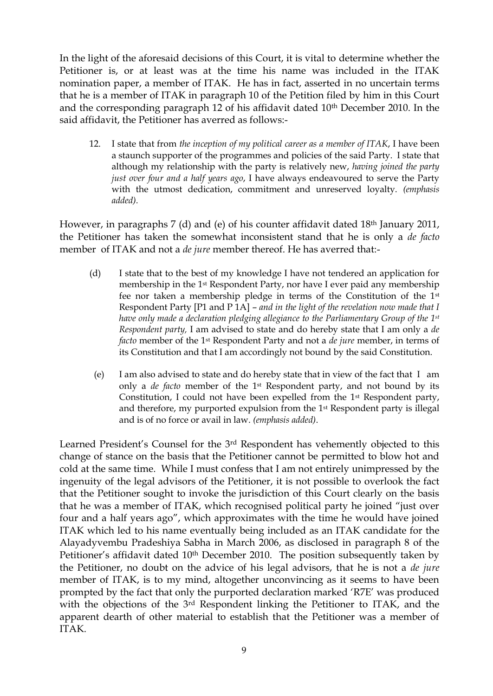In the light of the aforesaid decisions of this Court, it is vital to determine whether the Petitioner is, or at least was at the time his name was included in the ITAK nomination paper, a member of ITAK. He has in fact, asserted in no uncertain terms that he is a member of ITAK in paragraph 10 of the Petition filed by him in this Court and the corresponding paragraph 12 of his affidavit dated 10<sup>th</sup> December 2010. In the said affidavit, the Petitioner has averred as follows:-

12. I state that from *the inception of my political career as a member of ITAK*, I have been a staunch supporter of the programmes and policies of the said Party. I state that although my relationship with the party is relatively new, *having joined the party just over four and a half years ago*, I have always endeavoured to serve the Party with the utmost dedication, commitment and unreserved loyalty. *(emphasis added).*

However, in paragraphs 7 (d) and (e) of his counter affidavit dated 18<sup>th</sup> January 2011, the Petitioner has taken the somewhat inconsistent stand that he is only a *de facto* member of ITAK and not a *de jure* member thereof. He has averred that:-

- (d) I state that to the best of my knowledge I have not tendered an application for membership in the 1st Respondent Party, nor have I ever paid any membership fee nor taken a membership pledge in terms of the Constitution of the 1st Respondent Party [P1 and P 1A] – *and in the light of the revelation now made that I have only made a declaration pledging allegiance to the Parliamentary Group of the 1st Respondent party,* I am advised to state and do hereby state that I am only a *de facto* member of the 1st Respondent Party and not a *de jure* member, in terms of its Constitution and that I am accordingly not bound by the said Constitution.
	- (e) I am also advised to state and do hereby state that in view of the fact that I am only a *de facto* member of the 1st Respondent party, and not bound by its Constitution, I could not have been expelled from the 1st Respondent party, and therefore, my purported expulsion from the 1st Respondent party is illegal and is of no force or avail in law. *(emphasis added)*.

Learned President's Counsel for the 3<sup>rd</sup> Respondent has vehemently objected to this change of stance on the basis that the Petitioner cannot be permitted to blow hot and cold at the same time. While I must confess that I am not entirely unimpressed by the ingenuity of the legal advisors of the Petitioner, it is not possible to overlook the fact that the Petitioner sought to invoke the jurisdiction of this Court clearly on the basis that he was a member of ITAK, which recognised political party he joined "just over four and a half years ago", which approximates with the time he would have joined ITAK which led to his name eventually being included as an ITAK candidate for the Alayadyvembu Pradeshiya Sabha in March 2006, as disclosed in paragraph 8 of the Petitioner's affidavit dated 10<sup>th</sup> December 2010. The position subsequently taken by the Petitioner, no doubt on the advice of his legal advisors, that he is not a *de jure* member of ITAK, is to my mind, altogether unconvincing as it seems to have been prompted by the fact that only the purported declaration marked "R7E" was produced with the objections of the 3<sup>rd</sup> Respondent linking the Petitioner to ITAK, and the apparent dearth of other material to establish that the Petitioner was a member of ITAK.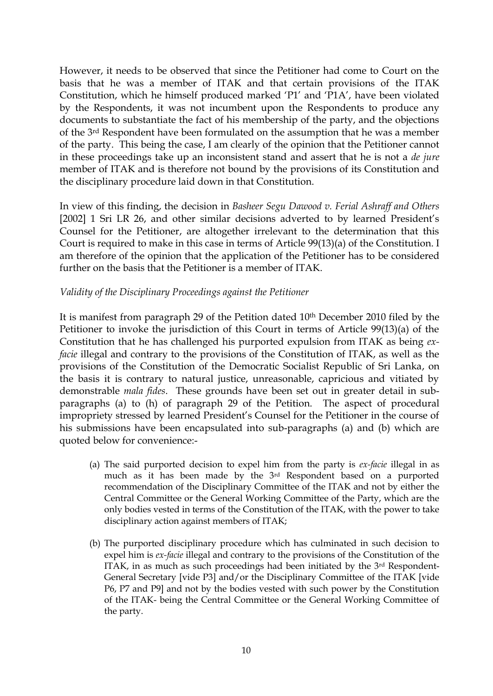However, it needs to be observed that since the Petitioner had come to Court on the basis that he was a member of ITAK and that certain provisions of the ITAK Constitution, which he himself produced marked "P1" and "P1A", have been violated by the Respondents, it was not incumbent upon the Respondents to produce any documents to substantiate the fact of his membership of the party, and the objections of the 3rd Respondent have been formulated on the assumption that he was a member of the party. This being the case, I am clearly of the opinion that the Petitioner cannot in these proceedings take up an inconsistent stand and assert that he is not a *de jure* member of ITAK and is therefore not bound by the provisions of its Constitution and the disciplinary procedure laid down in that Constitution.

In view of this finding, the decision in *Basheer Segu Dawood v. Ferial Ashraff and Others* [2002] 1 Sri LR 26, and other similar decisions adverted to by learned President's Counsel for the Petitioner, are altogether irrelevant to the determination that this Court is required to make in this case in terms of Article 99(13)(a) of the Constitution. I am therefore of the opinion that the application of the Petitioner has to be considered further on the basis that the Petitioner is a member of ITAK.

### *Validity of the Disciplinary Proceedings against the Petitioner*

It is manifest from paragraph 29 of the Petition dated 10th December 2010 filed by the Petitioner to invoke the jurisdiction of this Court in terms of Article 99(13)(a) of the Constitution that he has challenged his purported expulsion from ITAK as being *exfacie* illegal and contrary to the provisions of the Constitution of ITAK, as well as the provisions of the Constitution of the Democratic Socialist Republic of Sri Lanka, on the basis it is contrary to natural justice, unreasonable, capricious and vitiated by demonstrable *mala fides*. These grounds have been set out in greater detail in subparagraphs (a) to (h) of paragraph 29 of the Petition. The aspect of procedural impropriety stressed by learned President"s Counsel for the Petitioner in the course of his submissions have been encapsulated into sub-paragraphs (a) and (b) which are quoted below for convenience:-

- (a) The said purported decision to expel him from the party is *ex-facie* illegal in as much as it has been made by the 3rd Respondent based on a purported recommendation of the Disciplinary Committee of the ITAK and not by either the Central Committee or the General Working Committee of the Party, which are the only bodies vested in terms of the Constitution of the ITAK, with the power to take disciplinary action against members of ITAK;
- (b) The purported disciplinary procedure which has culminated in such decision to expel him is *ex-facie* illegal and contrary to the provisions of the Constitution of the ITAK, in as much as such proceedings had been initiated by the 3rd Respondent-General Secretary [vide P3] and/or the Disciplinary Committee of the ITAK [vide P6, P7 and P9] and not by the bodies vested with such power by the Constitution of the ITAK- being the Central Committee or the General Working Committee of the party.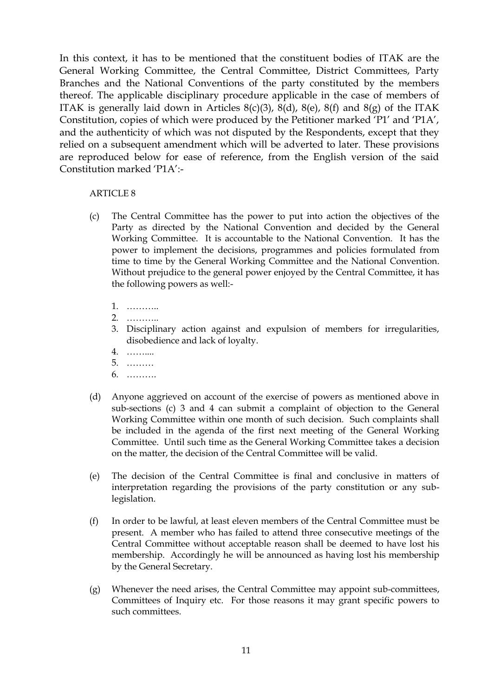In this context, it has to be mentioned that the constituent bodies of ITAK are the General Working Committee, the Central Committee, District Committees, Party Branches and the National Conventions of the party constituted by the members thereof. The applicable disciplinary procedure applicable in the case of members of ITAK is generally laid down in Articles  $8(c)(3)$ ,  $8(d)$ ,  $8(e)$ ,  $8(f)$  and  $8(g)$  of the ITAK Constitution, copies of which were produced by the Petitioner marked "P1" and "P1A", and the authenticity of which was not disputed by the Respondents, except that they relied on a subsequent amendment which will be adverted to later. These provisions are reproduced below for ease of reference, from the English version of the said Constitution marked "P1A":-

#### ARTICLE 8

- (c) The Central Committee has the power to put into action the objectives of the Party as directed by the National Convention and decided by the General Working Committee. It is accountable to the National Convention. It has the power to implement the decisions, programmes and policies formulated from time to time by the General Working Committee and the National Convention. Without prejudice to the general power enjoyed by the Central Committee, it has the following powers as well:-
	- 1. ………..
	- 2. ………..
	- 3. Disciplinary action against and expulsion of members for irregularities, disobedience and lack of loyalty.
	- 4. ……....
	- 5. ………
	- 6. ……….
- (d) Anyone aggrieved on account of the exercise of powers as mentioned above in sub-sections (c) 3 and 4 can submit a complaint of objection to the General Working Committee within one month of such decision. Such complaints shall be included in the agenda of the first next meeting of the General Working Committee. Until such time as the General Working Committee takes a decision on the matter, the decision of the Central Committee will be valid.
- (e) The decision of the Central Committee is final and conclusive in matters of interpretation regarding the provisions of the party constitution or any sublegislation.
- (f) In order to be lawful, at least eleven members of the Central Committee must be present. A member who has failed to attend three consecutive meetings of the Central Committee without acceptable reason shall be deemed to have lost his membership. Accordingly he will be announced as having lost his membership by the General Secretary.
- (g) Whenever the need arises, the Central Committee may appoint sub-committees, Committees of Inquiry etc. For those reasons it may grant specific powers to such committees.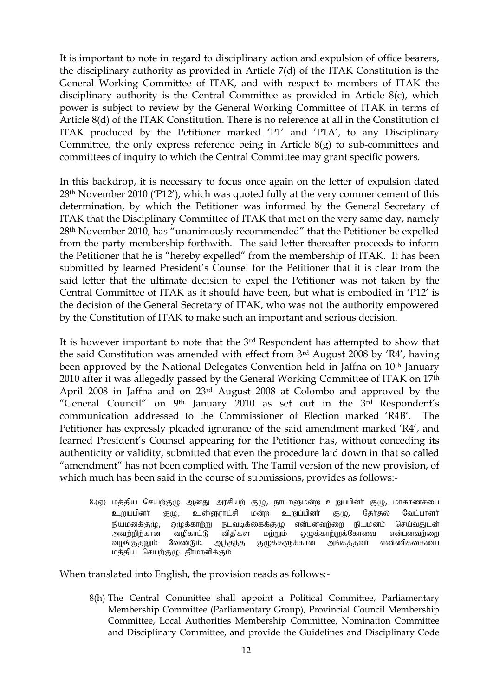It is important to note in regard to disciplinary action and expulsion of office bearers, the disciplinary authority as provided in Article 7(d) of the ITAK Constitution is the General Working Committee of ITAK, and with respect to members of ITAK the disciplinary authority is the Central Committee as provided in Article 8(c), which power is subject to review by the General Working Committee of ITAK in terms of Article 8(d) of the ITAK Constitution. There is no reference at all in the Constitution of ITAK produced by the Petitioner marked "P1" and "P1A", to any Disciplinary Committee, the only express reference being in Article 8(g) to sub-committees and committees of inquiry to which the Central Committee may grant specific powers.

In this backdrop, it is necessary to focus once again on the letter of expulsion dated 28th November 2010 ("P12"), which was quoted fully at the very commencement of this determination, by which the Petitioner was informed by the General Secretary of ITAK that the Disciplinary Committee of ITAK that met on the very same day, namely 28th November 2010, has "unanimously recommended" that the Petitioner be expelled from the party membership forthwith. The said letter thereafter proceeds to inform the Petitioner that he is "hereby expelled" from the membership of ITAK. It has been submitted by learned President's Counsel for the Petitioner that it is clear from the said letter that the ultimate decision to expel the Petitioner was not taken by the Central Committee of ITAK as it should have been, but what is embodied in "P12" is the decision of the General Secretary of ITAK, who was not the authority empowered by the Constitution of ITAK to make such an important and serious decision.

It is however important to note that the 3rd Respondent has attempted to show that the said Constitution was amended with effect from 3rd August 2008 by "R4", having been approved by the National Delegates Convention held in Jaffna on 10<sup>th</sup> January 2010 after it was allegedly passed by the General Working Committee of ITAK on 17th April 2008 in Jaffna and on 23rd August 2008 at Colombo and approved by the "General Council" on 9<sup>th</sup> January 2010 as set out in the 3<sup>rd</sup> Respondent's communication addressed to the Commissioner of Election marked "R4B". The Petitioner has expressly pleaded ignorance of the said amendment marked "R4", and learned President's Counsel appearing for the Petitioner has, without conceding its authenticity or validity, submitted that even the procedure laid down in that so called "amendment" has not been complied with. The Tamil version of the new provision, of which much has been said in the course of submissions, provides as follows:-

8.(ஏ) மத்திய செயற்குழு ஆனது அரசியற் குழு, நாடாளுமன்ற உறுப்பினர் குழு, மாகாணசபை உறுப்பினர் குழு, உள்ளுராட்சி மன்ற உறுப்பினர் குழு, தேர்தல் வேட்பாளர் நியமனக்குழு, ஒழுக்காற்று நடவடிக்கைக்குழு என்பனவற்றை நியமனம் செய்வதுடன்<br>அவற்றிற்கான வழிகாட்டு விதிகள் மற்றும் ஒழுக்காற்றுக்கோவை என்பனவற்றை அவற்றிற்கான வழிகாட்டு விதிகள் மற்றும் ஒழுக்காற்றுக்கோவை என்பனவற்றை<br>வழங்குதலும் வேண்டும். ஆந்தந்த குழுக்களுக்கான அங்கத்தவா் எண்ணிக்கையை ஆந்தந்த குழுக்களுக்கான மத்திய செயற்குழு தீாமானிக்கும்

When translated into English, the provision reads as follows:-

8(h) The Central Committee shall appoint a Political Committee, Parliamentary Membership Committee (Parliamentary Group), Provincial Council Membership Committee, Local Authorities Membership Committee, Nomination Committee and Disciplinary Committee, and provide the Guidelines and Disciplinary Code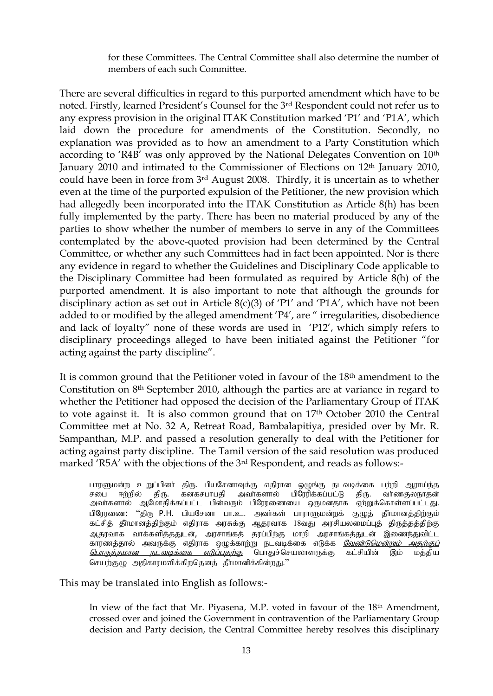for these Committees. The Central Committee shall also determine the number of members of each such Committee.

There are several difficulties in regard to this purported amendment which have to be noted. Firstly, learned President"s Counsel for the 3rd Respondent could not refer us to any express provision in the original ITAK Constitution marked "P1" and "P1A", which laid down the procedure for amendments of the Constitution. Secondly, no explanation was provided as to how an amendment to a Party Constitution which according to 'R4B' was only approved by the National Delegates Convention on 10<sup>th</sup> January 2010 and intimated to the Commissioner of Elections on 12<sup>th</sup> January 2010, could have been in force from 3rd August 2008. Thirdly, it is uncertain as to whether even at the time of the purported expulsion of the Petitioner, the new provision which had allegedly been incorporated into the ITAK Constitution as Article 8(h) has been fully implemented by the party. There has been no material produced by any of the parties to show whether the number of members to serve in any of the Committees contemplated by the above-quoted provision had been determined by the Central Committee, or whether any such Committees had in fact been appointed. Nor is there any evidence in regard to whether the Guidelines and Disciplinary Code applicable to the Disciplinary Committee had been formulated as required by Article 8(h) of the purported amendment. It is also important to note that although the grounds for disciplinary action as set out in Article 8(c)(3) of 'P1' and 'P1A', which have not been added to or modified by the alleged amendment "P4", are " irregularities, disobedience and lack of loyalty" none of these words are used in "P12", which simply refers to disciplinary proceedings alleged to have been initiated against the Petitioner "for acting against the party discipline".

It is common ground that the Petitioner voted in favour of the 18th amendment to the Constitution on 8th September 2010, although the parties are at variance in regard to whether the Petitioner had opposed the decision of the Parliamentary Group of ITAK to vote against it. It is also common ground that on 17<sup>th</sup> October 2010 the Central Committee met at No. 32 A, Retreat Road, Bambalapitiya, presided over by Mr. R. Sampanthan, M.P. and passed a resolution generally to deal with the Petitioner for acting against party discipline. The Tamil version of the said resolution was produced marked 'R5A' with the objections of the 3<sup>rd</sup> Respondent, and reads as follows:-

பாரளுமன்ற உறுப்பினா் திரு. பியசேனாவுக்கு எதிரான ஒழுங்கு நடவடிக்கை பற்றி ஆராய்ந்த<br>சபை ஈற்றில் திரு. கனகசபாபதி அவா்களால் பிரேரிக்கப்பட்டு திரு. வா்ணகுலநாதன் திரு. கனகசபாபதி அவா்களால் ஆமோதிக்கப்பட்ட பின்வரும் பிரேரணையை ஒருமனதாக ஏற்றுக்கொள்ளப்பட்டது. பிரேரணை: "திரு P.H. பியசேனா பா.உ. அவர்கள் பாராளுமன்றக் குழுத் தீர்மானத்திற்கும் கட்சித் தீாமானத்திற்கும் எதிராக அரசுக்கு ஆதரவாக 18வது அரசியலமைப்புத் திருத்தத்திற்கு ஆதரவாக வாக்களித்ததுடன், அரசாங்கத் தரப்பிற்கு மாறி அரசாங்கத்துடன் இணைந்துவிட்ட காரணத்தால் அவருக்கு எதிராக ஒழுக்காற்று நடவடிக்கை எடுக்க <u>*வேண்டுமென்றும் அதற்குப்*</u> <u>பொருத்தமான நட*வடிக்கை எடுப்பதற்கு*</u> பொதுச்செயலாளருக்கு கட்சியின் இம் மத்திய செயற்குழு அதிகாரமளிக்கிறதெனத் தீர்மானிக்கின்றது."

This may be translated into English as follows:-

In view of the fact that Mr. Piyasena, M.P. voted in favour of the 18th Amendment, crossed over and joined the Government in contravention of the Parliamentary Group decision and Party decision, the Central Committee hereby resolves this disciplinary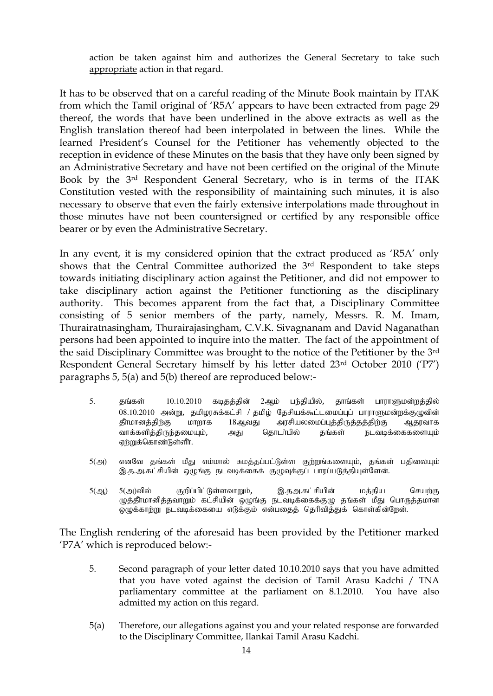action be taken against him and authorizes the General Secretary to take such appropriate action in that regard.

It has to be observed that on a careful reading of the Minute Book maintain by ITAK from which the Tamil original of "R5A" appears to have been extracted from page 29 thereof, the words that have been underlined in the above extracts as well as the English translation thereof had been interpolated in between the lines. While the learned President's Counsel for the Petitioner has vehemently objected to the reception in evidence of these Minutes on the basis that they have only been signed by an Administrative Secretary and have not been certified on the original of the Minute Book by the 3rd Respondent General Secretary, who is in terms of the ITAK Constitution vested with the responsibility of maintaining such minutes, it is also necessary to observe that even the fairly extensive interpolations made throughout in those minutes have not been countersigned or certified by any responsible office bearer or by even the Administrative Secretary.

In any event, it is my considered opinion that the extract produced as "R5A" only shows that the Central Committee authorized the 3rd Respondent to take steps towards initiating disciplinary action against the Petitioner, and did not empower to take disciplinary action against the Petitioner functioning as the disciplinary authority. This becomes apparent from the fact that, a Disciplinary Committee consisting of 5 senior members of the party, namely, Messrs. R. M. Imam, Thurairatnasingham, Thurairajasingham, C.V.K. Sivagnanam and David Naganathan persons had been appointed to inquire into the matter. The fact of the appointment of the said Disciplinary Committee was brought to the notice of the Petitioner by the 3rd Respondent General Secretary himself by his letter dated 23rd October 2010 ("P7") paragraphs 5, 5(a) and 5(b) thereof are reproduced below:-

- 5. தங்கள் 10.10.2010 கடிதத்தின் 2ஆம் பந்தியில், தாங்கள் பாராளுமன்றத்தில்  $08.10.2010$  அன்று, தமிழரசுக்கட்சி / தமிழ் தேசியக்கூட்டமைப்புப் பாராளுமன்றக்குழுவின் தீா்மானத்திற்கு மாறாக 18ஆவது அரசியலமைப்புத்திருத்தத்திற்கு ஆதரவாக வாக்களித்திருந்தமையும், அது தொடா்பில் தங்கள் நடவடிக்கைகளையும் ஏற்றுக்கொண்டுள்ளீர்.
- 5(அ) எனவே தங்கள் மீது எம்மால் சுமத்தப்பட்டுள்ள குற்றங்களையும், தங்கள் பதிலையும் இ.த.அ.கட்சியின் ஒழுங்கு நடவடிக்கைக் குழுவுக்குப் பாரப்படுத்தியுள்ளேன்.
- 5(ஆ) 5(அ)வில் குறிப்பிட்டுள்ளவாறும், இ.தஅ.கட்சியின் மத்திய செயற்கு ழுத்தீாமானித்தவாறும் கட்சியின் ஒழுங்கு நடவடிக்கைக்குழு தங்கள் மீது பொருத்தமான  $\widetilde{\omega}$ ழுக்காற்று நடவடிக்கையை எடுக்கும் என்பதைத் தெரிவித்துக் கொள்கின்றேன்.

The English rendering of the aforesaid has been provided by the Petitioner marked "P7A" which is reproduced below:-

- 5. Second paragraph of your letter dated 10.10.2010 says that you have admitted that you have voted against the decision of Tamil Arasu Kadchi / TNA parliamentary committee at the parliament on 8.1.2010. You have also admitted my action on this regard.
- 5(a) Therefore, our allegations against you and your related response are forwarded to the Disciplinary Committee, Ilankai Tamil Arasu Kadchi.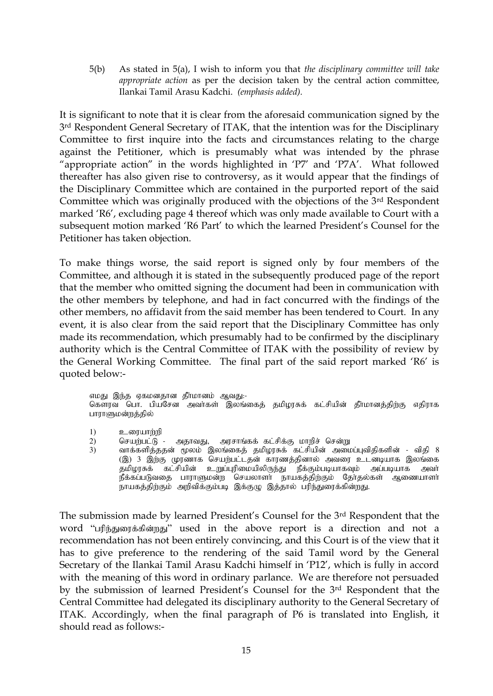5(b) As stated in 5(a), I wish to inform you that *the disciplinary committee will take appropriate action* as per the decision taken by the central action committee, Ilankai Tamil Arasu Kadchi. *(emphasis added).*

It is significant to note that it is clear from the aforesaid communication signed by the 3<sup>rd</sup> Respondent General Secretary of ITAK, that the intention was for the Disciplinary Committee to first inquire into the facts and circumstances relating to the charge against the Petitioner, which is presumably what was intended by the phrase "appropriate action" in the words highlighted in "P7" and "P7A". What followed thereafter has also given rise to controversy, as it would appear that the findings of the Disciplinary Committee which are contained in the purported report of the said Committee which was originally produced with the objections of the 3<sup>rd</sup> Respondent marked "R6", excluding page 4 thereof which was only made available to Court with a subsequent motion marked "R6 Part" to which the learned President"s Counsel for the Petitioner has taken objection.

To make things worse, the said report is signed only by four members of the Committee, and although it is stated in the subsequently produced page of the report that the member who omitted signing the document had been in communication with the other members by telephone, and had in fact concurred with the findings of the other members, no affidavit from the said member has been tendered to Court. In any event, it is also clear from the said report that the Disciplinary Committee has only made its recommendation, which presumably had to be confirmed by the disciplinary authority which is the Central Committee of ITAK with the possibility of review by the General Working Committee. The final part of the said report marked "R6" is quoted below:-

எமது இந்த ஏகமனதான தீர்மானம் ஆவது:-கௌரவ பொ. பியசேன அவர்கள் இலங்கைத் தமிழரசுக் கட்சியின் தீர்மானத்திற்கு எதிராக பாராளுமன்றத்தில்

1) உரையாற்றி<br>2) செயர்பட்டு

2) nraw;gl;L - mjhtJ> murhq;ff; fl;rpf;F khwpr; nrd;W

3) வாக்களித்ததன் மூலம் இலங்கைத் தமிழரசுக் கட்சியின் அமைப்புவிதிகளின் - விதி 8 (இ) 3 இற்கு முரணாக செயற்பட்டதன் காரணத்தினால் அவரை உடனடியாக இலங்கை ்கு,<br>தமிழரசுக் கட்சியின் உறுப்புரிமையிலிருந்து நீக்கும்படியாகவும் அப்படியாக அவா நீக்கப்படுவதை பாராளுமன்ற செயலாளா் நாயகத்திற்கும் தோ்தல்கள் ஆணையாளா் நாயகத்திற்கும் அறிவிக்கும்படி இக்குழு இத்தால் பரிந்துரைக்கின்றது.

The submission made by learned President"s Counsel for the 3rd Respondent that the word "பரிந்துரைக்கின்றது" used in the above report is a direction and not a recommendation has not been entirely convincing, and this Court is of the view that it has to give preference to the rendering of the said Tamil word by the General Secretary of the Ilankai Tamil Arasu Kadchi himself in "P12", which is fully in accord with the meaning of this word in ordinary parlance. We are therefore not persuaded by the submission of learned President"s Counsel for the 3rd Respondent that the Central Committee had delegated its disciplinary authority to the General Secretary of ITAK. Accordingly, when the final paragraph of P6 is translated into English, it should read as follows:-